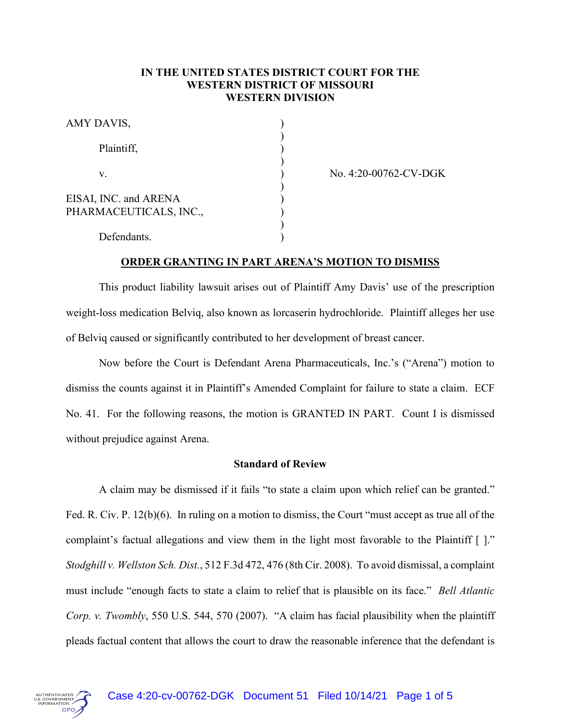# **IN THE UNITED STATES DISTRICT COURT FOR THE WESTERN DISTRICT OF MISSOURI WESTERN DIVISION**

| AMY DAVIS,                                      |  |
|-------------------------------------------------|--|
| Plaintiff,                                      |  |
| V.                                              |  |
| EISAI, INC. and ARENA<br>PHARMACEUTICALS, INC., |  |
| Defendants.                                     |  |

No. 4:20-00762-CV-DGK

## **ORDER GRANTING IN PART ARENA'S MOTION TO DISMISS**

This product liability lawsuit arises out of Plaintiff Amy Davis' use of the prescription weight-loss medication Belviq, also known as lorcaserin hydrochloride. Plaintiff alleges her use of Belviq caused or significantly contributed to her development of breast cancer.

Now before the Court is Defendant Arena Pharmaceuticals, Inc.'s ("Arena") motion to dismiss the counts against it in Plaintiff's Amended Complaint for failure to state a claim. ECF No. 41. For the following reasons, the motion is GRANTED IN PART. Count I is dismissed without prejudice against Arena.

# **Standard of Review**

A claim may be dismissed if it fails "to state a claim upon which relief can be granted." Fed. R. Civ. P. 12(b)(6). In ruling on a motion to dismiss, the Court "must accept as true all of the complaint's factual allegations and view them in the light most favorable to the Plaintiff [ ]." *Stodghill v. Wellston Sch. Dist.*, 512 F.3d 472, 476 (8th Cir. 2008). To avoid dismissal, a complaint must include "enough facts to state a claim to relief that is plausible on its face." *Bell Atlantic Corp. v. Twombly*, 550 U.S. 544, 570 (2007). "A claim has facial plausibility when the plaintiff pleads factual content that allows the court to draw the reasonable inference that the defendant is

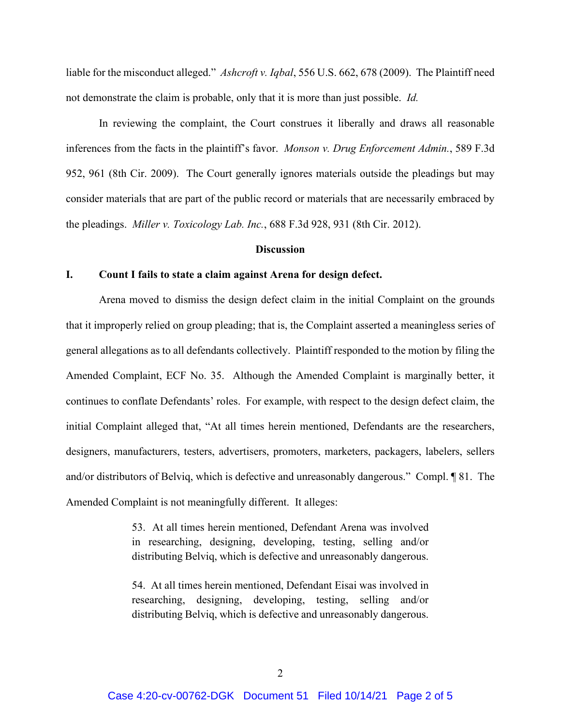liable for the misconduct alleged." *Ashcroft v. Iqbal*, 556 U.S. 662, 678 (2009). The Plaintiff need not demonstrate the claim is probable, only that it is more than just possible. *Id.*

In reviewing the complaint, the Court construes it liberally and draws all reasonable inferences from the facts in the plaintiff's favor. *Monson v. Drug Enforcement Admin.*, 589 F.3d 952, 961 (8th Cir. 2009). The Court generally ignores materials outside the pleadings but may consider materials that are part of the public record or materials that are necessarily embraced by the pleadings. *Miller v. Toxicology Lab. Inc.*, 688 F.3d 928, 931 (8th Cir. 2012).

#### **Discussion**

### **I. Count I fails to state a claim against Arena for design defect.**

Arena moved to dismiss the design defect claim in the initial Complaint on the grounds that it improperly relied on group pleading; that is, the Complaint asserted a meaningless series of general allegations as to all defendants collectively. Plaintiff responded to the motion by filing the Amended Complaint, ECF No. 35. Although the Amended Complaint is marginally better, it continues to conflate Defendants' roles. For example, with respect to the design defect claim, the initial Complaint alleged that, "At all times herein mentioned, Defendants are the researchers, designers, manufacturers, testers, advertisers, promoters, marketers, packagers, labelers, sellers and/or distributors of Belviq, which is defective and unreasonably dangerous." Compl. ¶ 81. The Amended Complaint is not meaningfully different. It alleges:

> 53. At all times herein mentioned, Defendant Arena was involved in researching, designing, developing, testing, selling and/or distributing Belviq, which is defective and unreasonably dangerous.

> 54. At all times herein mentioned, Defendant Eisai was involved in researching, designing, developing, testing, selling and/or distributing Belviq, which is defective and unreasonably dangerous.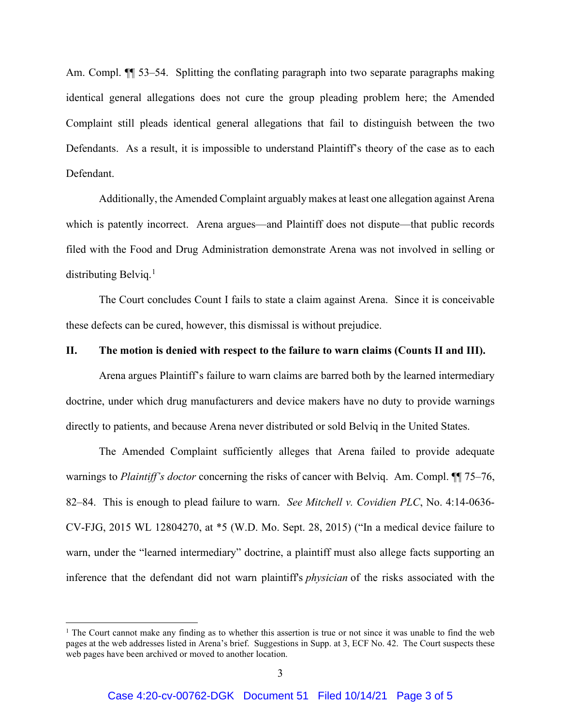Am. Compl.  $\P$  53–54. Splitting the conflating paragraph into two separate paragraphs making identical general allegations does not cure the group pleading problem here; the Amended Complaint still pleads identical general allegations that fail to distinguish between the two Defendants. As a result, it is impossible to understand Plaintiff's theory of the case as to each Defendant.

Additionally, the Amended Complaint arguably makes at least one allegation against Arena which is patently incorrect. Arena argues—and Plaintiff does not dispute—that public records filed with the Food and Drug Administration demonstrate Arena was not involved in selling or distributing Belviq.<sup>[1](#page-2-0)</sup>

The Court concludes Count I fails to state a claim against Arena. Since it is conceivable these defects can be cured, however, this dismissal is without prejudice.

## **II. The motion is denied with respect to the failure to warn claims (Counts II and III).**

Arena argues Plaintiff's failure to warn claims are barred both by the learned intermediary doctrine, under which drug manufacturers and device makers have no duty to provide warnings directly to patients, and because Arena never distributed or sold Belviq in the United States.

The Amended Complaint sufficiently alleges that Arena failed to provide adequate warnings to *Plaintiff's doctor* concerning the risks of cancer with Belviq. Am. Compl. ¶¶ 75–76, 82–84. This is enough to plead failure to warn. *See Mitchell v. Covidien PLC*, No. 4:14-0636- CV-FJG, 2015 WL 12804270, at \*5 (W.D. Mo. Sept. 28, 2015) ("In a medical device failure to warn, under the "learned intermediary" doctrine, a plaintiff must also allege facts supporting an inference that the defendant did not warn plaintiff's *physician* of the risks associated with the

<span id="page-2-0"></span><sup>&</sup>lt;sup>1</sup> The Court cannot make any finding as to whether this assertion is true or not since it was unable to find the web pages at the web addresses listed in Arena's brief. Suggestions in Supp. at 3, ECF No. 42. The Court suspects these web pages have been archived or moved to another location.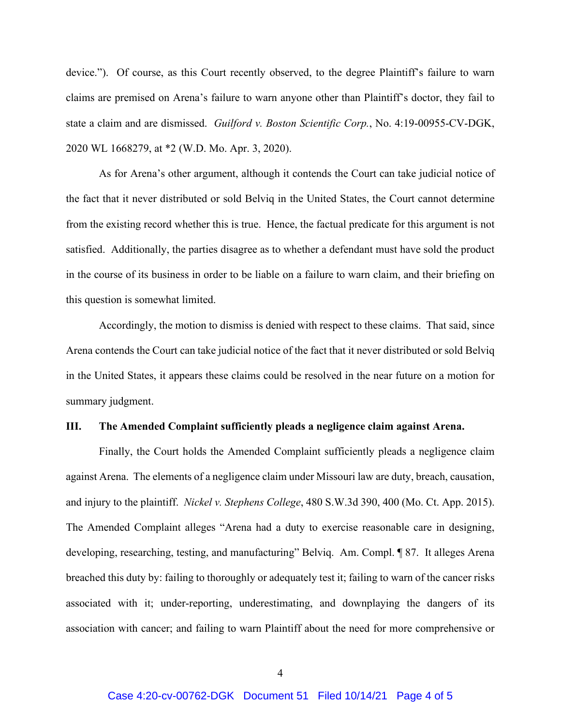device."). Of course, as this Court recently observed, to the degree Plaintiff's failure to warn claims are premised on Arena's failure to warn anyone other than Plaintiff's doctor, they fail to state a claim and are dismissed. *Guilford v. Boston Scientific Corp.*, No. 4:19-00955-CV-DGK, 2020 WL 1668279, at \*2 (W.D. Mo. Apr. 3, 2020).

As for Arena's other argument, although it contends the Court can take judicial notice of the fact that it never distributed or sold Belviq in the United States, the Court cannot determine from the existing record whether this is true. Hence, the factual predicate for this argument is not satisfied. Additionally, the parties disagree as to whether a defendant must have sold the product in the course of its business in order to be liable on a failure to warn claim, and their briefing on this question is somewhat limited.

Accordingly, the motion to dismiss is denied with respect to these claims. That said, since Arena contends the Court can take judicial notice of the fact that it never distributed or sold Belviq in the United States, it appears these claims could be resolved in the near future on a motion for summary judgment.

## **III. The Amended Complaint sufficiently pleads a negligence claim against Arena.**

Finally, the Court holds the Amended Complaint sufficiently pleads a negligence claim against Arena. The elements of a negligence claim under Missouri law are duty, breach, causation, and injury to the plaintiff. *Nickel v. Stephens College*, 480 S.W.3d 390, 400 (Mo. Ct. App. 2015). The Amended Complaint alleges "Arena had a duty to exercise reasonable care in designing, developing, researching, testing, and manufacturing" Belviq. Am. Compl. ¶ 87. It alleges Arena breached this duty by: failing to thoroughly or adequately test it; failing to warn of the cancer risks associated with it; under-reporting, underestimating, and downplaying the dangers of its association with cancer; and failing to warn Plaintiff about the need for more comprehensive or